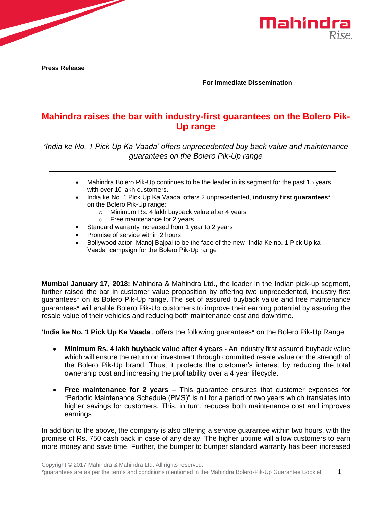

**Press Release**

**For Immediate Dissemination**

## **Mahindra raises the bar with industry-first guarantees on the Bolero Pik-Up range**

*'India ke No. 1 Pick Up Ka Vaada' offers unprecedented buy back value and maintenance guarantees on the Bolero Pik-Up range*

| $\bullet$ | Mahindra Bolero Pik-Up continues to be the leader in its segment for the past 15 years                                            |
|-----------|-----------------------------------------------------------------------------------------------------------------------------------|
|           | with over 10 lakh customers.                                                                                                      |
| $\bullet$ | India ke No. 1 Pick Up Ka Vaada' offers 2 unprecedented, industry first guarantees*                                               |
|           | on the Bolero Pik-Up range:                                                                                                       |
|           | Minimum Rs. 4 lakh buyback value after 4 years<br>$\circ$                                                                         |
|           | $\circ$ Free maintenance for 2 years                                                                                              |
|           | Standard warranty increased from 1 year to 2 years                                                                                |
| $\bullet$ | Promise of service within 2 hours                                                                                                 |
| $\bullet$ | Bollywood actor, Manoj Bajpai to be the face of the new "India Ke no. 1 Pick Up ka<br>Vaada" campaign for the Bolero Pik-Up range |

**Mumbai January 17, 2018:** Mahindra & Mahindra Ltd., the leader in the Indian pick-up segment, further raised the bar in customer value proposition by offering two unprecedented, industry first guarantees\* on its Bolero Pik-Up range. The set of assured buyback value and free maintenance guarantees\* will enable Bolero Pik-Up customers to improve their earning potential by assuring the resale value of their vehicles and reducing both maintenance cost and downtime.

**'India ke No. 1 Pick Up Ka Vaada**', offers the following guarantees\* on the Bolero Pik-Up Range:

- **Minimum Rs. 4 lakh buyback value after 4 years -** An industry first assured buyback value which will ensure the return on investment through committed resale value on the strength of the Bolero Pik-Up brand. Thus, it protects the customer's interest by reducing the total ownership cost and increasing the profitability over a 4 year lifecycle.
- **Free maintenance for 2 years** This guarantee ensures that customer expenses for "Periodic Maintenance Schedule (PMS)" is nil for a period of two years which translates into higher savings for customers. This, in turn, reduces both maintenance cost and improves earnings

In addition to the above, the company is also offering a service guarantee within two hours, with the promise of Rs. 750 cash back in case of any delay. The higher uptime will allow customers to earn more money and save time. Further, the bumper to bumper standard warranty has been increased